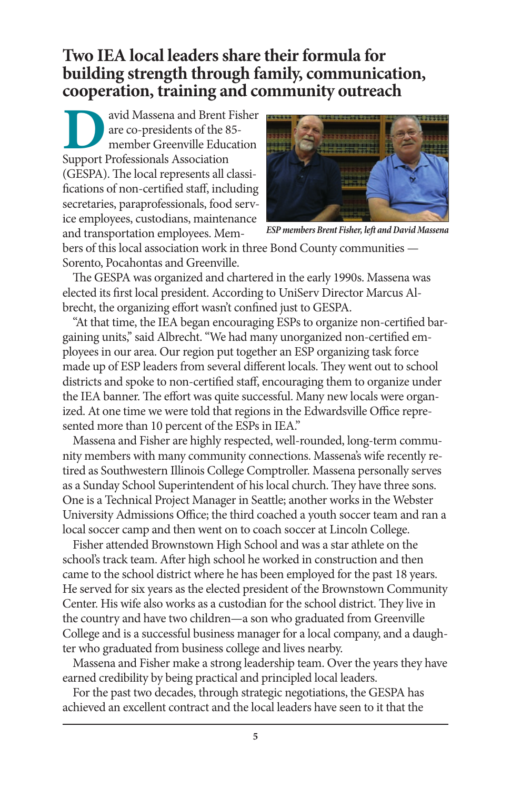## **Two IEA local leaders share their formula for building strength through family, communication, cooperation, training and community outreach**

**David Massena and Brent Fisher**<br>
are co-presidents of the 85-<br>
member Greenville Education<br>
Support Professionals Association are co-presidents of the 85 member Greenville Education (GESPA). The local represents all classifications of non-certified staff, including secretaries, paraprofessionals, food service employees, custodians, maintenance and transportation employees. Mem-



*ESP members Brent Fisher, left and David Massena* 

bers of this local association work in three Bond County communities — Sorento, Pocahontas and Greenville.

The GESPA was organized and chartered in the early 1990s. Massena was elected its first local president. According to UniServ Director Marcus Albrecht, the organizing effort wasn't confined just to GESPA.

"At that time, the IEA began encouraging ESPs to organize non-certified bargaining units," said Albrecht. "We had many unorganized non-certified employees in our area. Our region put together an ESP organizing task force made up of ESP leaders from several different locals. They went out to school districts and spoke to non-certified staff, encouraging them to organize under the IEA banner. The effort was quite successful. Many new locals were organized. At one time we were told that regions in the Edwardsville Office represented more than 10 percent of the ESPs in IEA."

Massena and Fisher are highly respected, well-rounded, long-term community members with many community connections. Massena's wife recently retired as Southwestern Illinois College Comptroller. Massena personally serves as a Sunday School Superintendent of his local church. They have three sons. One is a Technical Project Manager in Seattle; another works in the Webster University Admissions Office; the third coached a youth soccer team and ran a local soccer camp and then went on to coach soccer at Lincoln College.

Fisher attended Brownstown High School and was a star athlete on the school's track team. After high school he worked in construction and then came to the school district where he has been employed for the past 18 years. He served for six years as the elected president of the Brownstown Community Center. His wife also works as a custodian for the school district. They live in the country and have two children—a son who graduated from Greenville College and is a successful business manager for a local company, and a daughter who graduated from business college and lives nearby.

Massena and Fisher make a strong leadership team. Over the years they have earned credibility by being practical and principled local leaders.

For the past two decades, through strategic negotiations, the GESPA has achieved an excellent contract and the local leaders have seen to it that the